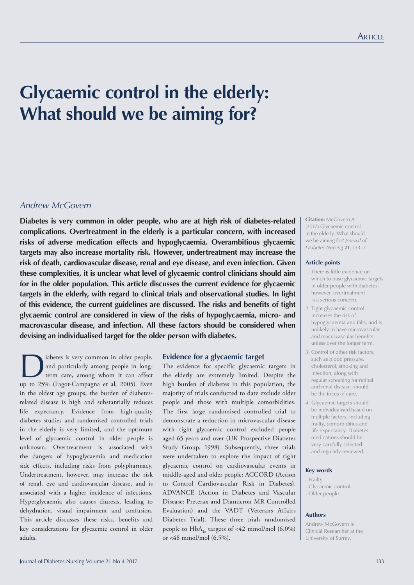# **Glycaemic control in the elderly: What should we be aiming for?**

# *Andrew McGovern*

**Diabetes is very common in older people, who are at high risk of diabetes-related complications. Overtreatment in the elderly is a particular concern, with increased risks of adverse medication effects and hypoglycaemia. Overambitious glycaemic targets may also increase mortality risk. However, undertreatment may increase the risk of death, cardiovascular disease, renal and eye disease, and even infection. Given these complexities, it is unclear what level of glycaemic control clinicians should aim for in the older population. This article discusses the current evidence for glycaemic targets in the elderly, with regard to clinical trials and observational studies. In light of this evidence, the current guidelines are discussed. The risks and benefits of tight glycaemic control are considered in view of the risks of hypoglycaemia, micro- and macrovascular disease, and infection. All these factors should be considered when devising an individualised target for the older person with diabetes.**

and particularly among people in long-<br>term care, among whom it can affect<br>up to 25% (Fagot Campagna et al. 2005). Even and particularly among people in longterm care, among whom it can affect up to 25% (Fagot-Campagna et al, 2005). Even in the oldest age groups, the burden of diabetesrelated disease is high and substantially reduces life expectancy. Evidence from high-quality diabetes studies and randomised controlled trials in the elderly is very limited, and the optimum level of glycaemic control in older people is unknown. Overtreatment is associated with the dangers of hypoglycaemia and medication side effects, including risks from polypharmacy. Undertreatment, however, may increase the risk of renal, eye and cardiovascular disease, and is associated with a higher incidence of infections. Hyperglycaemia also causes diuresis, leading to dehydration, visual impairment and confusion. This article discusses these risks, benefits and key considerations for glycaemic control in older adults.

## **Evidence for a glycaemic target**

The evidence for specific glycaemic targets in the elderly are extremely limited. Despite the high burden of diabetes in this population, the majority of trials conducted to date exclude older people and those with multiple comorbidities. The first large randomised controlled trial to demonstrate a reduction in microvascular disease with tight glycaemic control excluded people aged 65 years and over (UK Prospective Diabetes Study Group, 1998). Subsequently, three trials were undertaken to explore the impact of tight glycaemic control on cardiovascular events in middle-aged and older people: ACCORD (Action to Control Cardiovascular Risk in Diabetes), ADVANCE (Action in Diabetes and Vascular Disease: Preterax and Diamicron MR Controlled Evaluation) and the VADT (Veterans Affairs Diabetes Trial). These three trials randomised people to HbA, targets of  $<42$  mmol/mol (6.0%) or <48 mmol/mol (6.5%).

**Citation:** McGovern A (2017) Glycaemic control in the elderly: What should we be aiming for? *Journal of Diabetes Nursing* **21**: 133–7

#### **Article points**

- 1. There is little evidence on which to base glycaemic targets in older people with diabetes; however, overtreatment is a serious concern.
- 2. Tight glycaemic control increases the risk of hypoglycaemia and falls, and is unlikely to have microvascular and macrovascular benefits unless over the longer term.
- 3. Control of other risk factors, such as blood pressure, cholesterol, smoking and infection, along with regular screening for retinal and renal disease, should be the focus of care.
- 4. Glycaemic targets should be individualised based on multiple factors, including frailty, comorbidities and life expectancy. Diabetes medications should be very carefully selected and regularly reviewed.

#### **Key words**

- Frailty
- Glycaemic control
- Older people

## **Authors**

Andrew McGovern is Clinical Researcher at the University of Surrey.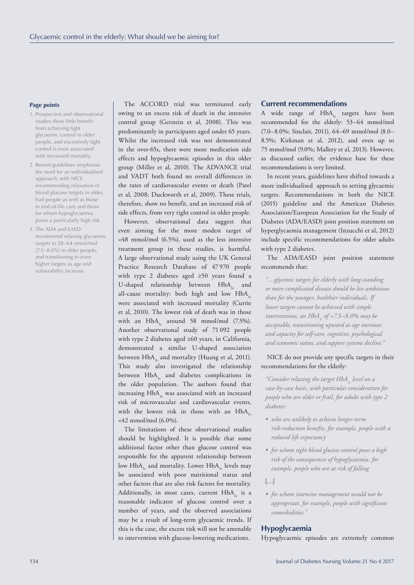#### **Page points**

- 1. Prospective and observational studies show little benefit from achieving tight glycaemic control in older people, and excessively tight control is even associated with increased mortality.
- 2. Recent guidelines emphasise the need for an individualised approach, with NICE recommending relaxation of blood glucose targets in older, frail people as well as those in end-of-life care and those for whom hypoglycaemia poses a particularly high risk.
- 3. The ADA and EASD recommend relaxing glycaemic targets to 58–64 mmol/mol (7.5–8.0%) in older people, and transitioning to even higher targets as age and vulnerability increase.

The ACCORD trial was terminated early owing to an excess risk of death in the intensive control group (Gerstein et al, 2008). This was predominantly in participants aged under 65 years. Whilst the increased risk was not demonstrated in the over-65s, there were more medication side effects and hypoglycaemic episodes in this older group (Miller et al, 2010). The ADVANCE trial and VADT both found no overall differences in the rates of cardiovascular events or death (Patel et al, 2008; Duckworth et al, 2009). These trials, therefore, show no benefit, and an increased risk of side effects, from very tight control in older people.

However, observational data suggest that even aiming for the more modest target of <48 mmol/mol (6.5%), used as the less intensive treatment group in these studies, is harmful. A large observational study using the UK General Practice Research Database of 47 970 people with type 2 diabetes aged ≥50 years found a U-shaped relationship between  $HbA_{1c}$  and all-cause mortality: both high and low  $HbA_1$ . were associated with increased mortality (Currie et al, 2010). The lowest risk of death was in those with an  $HbA_{1c}$  around 58 mmol/mol (7.5%). Another observational study of 71 092 people with type 2 diabetes aged ≥60 years, in California, demonstrated a similar U-shaped association between  $HbA_{1c}$  and mortality (Huang et al, 2011). This study also investigated the relationship between  $HbA_{1c}$  and diabetes complications in the older population. The authors found that increasing HbA<sub>12</sub> was associated with an increased risk of microvascular and cardiovascular events, with the lowest risk in those with an  $HbA_1$ . <42 mmol/mol (6.0%).

The limitations of these observational studies should be highlighted. It is possible that some additional factor other than glucose control was responsible for the apparent relationship between low  $HbA_{1c}$  and mortality. Lower  $HbA_{1c}$  levels may be associated with poor nutritional status and other factors that are also risk factors for mortality. Additionally, in most cases, current  $HbA_1$  is a reasonable indicator of glucose control over a number of years, and the observed associations may be a result of long-term glycaemic trends. If this is the case, the excess risk will not be amenable to intervention with glucose-lowering medications.

## **Current recommendations**

A wide range of  $HbA<sub>1c</sub>$  targets have been recommended for the elderly: 53–64 mmol/mol (7.0–8.0%; Sinclair, 2011), 64–69 mmol/mol (8.0– 8.5%; Kirkman et al, 2012), and even up to 75 mmol/mol (9.0%; Mallery et al, 2013). However, as discussed earlier, the evidence base for these recommendations is very limited.

In recent years, guidelines have shifted towards a more individualised approach to setting glycaemic targets. Recommendations in both the NICE (2015) guideline and the American Diabetes Association/European Association for the Study of Diabetes (ADA/EASD) joint position statement on hyperglycaemia management (Inzucchi et al, 2012) include specific recommendations for older adults with type 2 diabetes.

The ADA/EASD joint position statement recommends that:

*"…glycemic targets for elderly with long-standing or more complicated disease should be less ambitious than for the younger, healthier individuals. If lower targets cannot be achieved with simple interventions, an HbA<sub>1c</sub> of <7.5–8.0% may be acceptable, transitioning upward as age increases and capacity for self-care, cognitive, psychological and economic status, and support systems decline."*

## NICE do not provide any specific targets in their recommendations for the elderly:

*"Consider relaxing the target HbA<sub>1c</sub> level on a case-by-case basis, with particular consideration for people who are older or frail, for adults with type 2 diabetes:*

- *• who are unlikely to achieve longer-term risk-reduction benefits, for example, people with a reduced life expectancy*
- *• for whom tight blood glucose control poses a high risk of the consequences of hypoglycaemia, for example, people who are at risk of falling*

 $[...]$ 

*• for whom intensive management would not be appropriate, for example, people with significant comorbidities."*

## **Hypoglycaemia**

Hypoglycaemic episodes are extremely common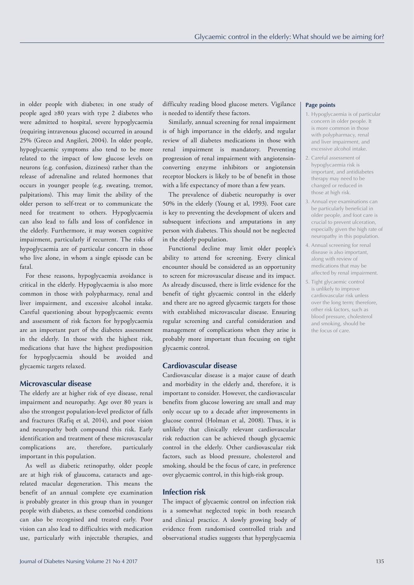in older people with diabetes; in one study of people aged ≥80 years with type 2 diabetes who were admitted to hospital, severe hypoglycaemia (requiring intravenous glucose) occurred in around 25% (Greco and Angileri, 2004). In older people, hypoglycaemic symptoms also tend to be more related to the impact of low glucose levels on neurons (e.g. confusion, dizziness) rather than the release of adrenaline and related hormones that occurs in younger people (e.g. sweating, tremor, palpitations). This may limit the ability of the older person to self-treat or to communicate the need for treatment to others. Hypoglycaemia can also lead to falls and loss of confidence in the elderly. Furthermore, it may worsen cognitive impairment, particularly if recurrent. The risks of hypoglycaemia are of particular concern in those who live alone, in whom a single episode can be fatal.

For these reasons, hypoglycaemia avoidance is critical in the elderly. Hypoglycaemia is also more common in those with polypharmacy, renal and liver impairment, and excessive alcohol intake. Careful questioning about hypoglycaemic events and assessment of risk factors for hypoglycaemia are an important part of the diabetes assessment in the elderly. In those with the highest risk, medications that have the highest predisposition for hypoglycaemia should be avoided and glycaemic targets relaxed.

## **Microvascular disease**

The elderly are at higher risk of eye disease, renal impairment and neuropathy. Age over 80 years is also the strongest population-level predictor of falls and fractures (Rafiq et al, 2014), and poor vision and neuropathy both compound this risk. Early identification and treatment of these microvascular complications are, therefore, particularly important in this population.

As well as diabetic retinopathy, older people are at high risk of glaucoma, cataracts and agerelated macular degeneration. This means the benefit of an annual complete eye examination is probably greater in this group than in younger people with diabetes, as these comorbid conditions can also be recognised and treated early. Poor vision can also lead to difficulties with medication use, particularly with injectable therapies, and

difficulty reading blood glucose meters. Vigilance is needed to identify these factors.

Similarly, annual screening for renal impairment is of high importance in the elderly, and regular review of all diabetes medications in those with renal impairment is mandatory. Preventing progression of renal impairment with angiotensinconverting enzyme inhibitors or angiotensin receptor blockers is likely to be of benefit in those with a life expectancy of more than a few years.

The prevalence of diabetic neuropathy is over 50% in the elderly (Young et al, 1993). Foot care is key to preventing the development of ulcers and subsequent infections and amputations in any person with diabetes. This should not be neglected in the elderly population.

Functional decline may limit older people's ability to attend for screening. Every clinical encounter should be considered as an opportunity to screen for microvascular disease and its impact. As already discussed, there is little evidence for the benefit of tight glycaemic control in the elderly and there are no agreed glycaemic targets for those with established microvascular disease. Ensuring regular screening and careful consideration and management of complications when they arise is probably more important than focusing on tight glycaemic control.

## **Cardiovascular disease**

Cardiovascular disease is a major cause of death and morbidity in the elderly and, therefore, it is important to consider. However, the cardiovascular benefits from glucose lowering are small and may only occur up to a decade after improvements in glucose control (Holman et al, 2008). Thus, it is unlikely that clinically relevant cardiovascular risk reduction can be achieved though glycaemic control in the elderly. Other cardiovascular risk factors, such as blood pressure, cholesterol and smoking, should be the focus of care, in preference over glycaemic control, in this high-risk group.

### **Infection risk**

The impact of glycaemic control on infection risk is a somewhat neglected topic in both research and clinical practice. A slowly growing body of evidence from randomised controlled trials and observational studies suggests that hyperglycaemia

#### **Page points**

- 1. Hypoglycaemia is of particular concern in older people. It is more common in those with polypharmacy, renal and liver impairment, and excessive alcohol intake.
- 2. Careful assessment of hypoglycaemia risk is important, and antidiabetes therapy may need to be changed or reduced in those at high risk.
- 3. Annual eye examinations can be particularly beneficial in older people, and foot care is crucial to prevent ulceration, especially given the high rate of neuropathy in this population.
- 4. Annual screening for renal disease is also important, along with review of medications that may be affected by renal impairment.
- 5. Tight glycaemic control is unlikely to improve cardiovascular risk unless over the long term; therefore, other risk factors, such as blood pressure, cholesterol and smoking, should be the focus of care.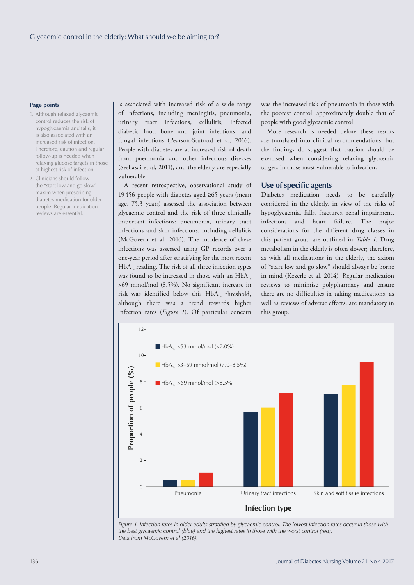#### **Page points**

- 1. Although relaxed glycaemic control reduces the risk of hypoglycaemia and falls, it is also associated with an increased risk of infection. Therefore, caution and regular follow-up is needed when relaxing glucose targets in those at highest risk of infection.
- 2. Clinicians should follow the "start low and go slow" maxim when prescribing diabetes medication for older people. Regular medication reviews are essential.

is associated with increased risk of a wide range of infections, including meningitis, pneumonia, urinary tract infections, cellulitis, infected diabetic foot, bone and joint infections, and fungal infections (Pearson-Stuttard et al, 2016). People with diabetes are at increased risk of death from pneumonia and other infectious diseases (Seshasai et al, 2011), and the elderly are especially vulnerable.

A recent retrospective, observational study of 19 456 people with diabetes aged ≥65 years (mean age, 75.3 years) assessed the association between glycaemic control and the risk of three clinically important infections: pneumonia, urinary tract infections and skin infections, including cellulitis (McGovern et al, 2016). The incidence of these infections was assessed using GP records over a one-year period after stratifying for the most recent  $HbA<sub>1c</sub>$  reading. The risk of all three infection types was found to be increased in those with an  $HbA_{1}$ >69 mmol/mol (8.5%). No significant increase in risk was identified below this HbA<sub>12</sub> threshold, although there was a trend towards higher infection rates (*Figure 1*). Of particular concern

was the increased risk of pneumonia in those with the poorest control: approximately double that of people with good glycaemic control.

More research is needed before these results are translated into clinical recommendations, but the findings do suggest that caution should be exercised when considering relaxing glycaemic targets in those most vulnerable to infection.

#### **Use of specific agents**

Diabetes medication needs to be carefully considered in the elderly, in view of the risks of hypoglycaemia, falls, fractures, renal impairment, infections and heart failure. The major considerations for the different drug classes in this patient group are outlined in *Table 1*. Drug metabolism in the elderly is often slower; therefore, as with all medications in the elderly, the axiom of "start low and go slow" should always be borne in mind (Kezerle et al, 2014). Regular medication reviews to minimise polypharmacy and ensure there are no difficulties in taking medications, as well as reviews of adverse effects, are mandatory in this group.



*Figure 1. Infection rates in older adults stratified by glycaemic control. The lowest infection rates occur in those with the best glycaemic control (blue) and the highest rates in those with the worst control (red). Data from McGovern et al (2016).*